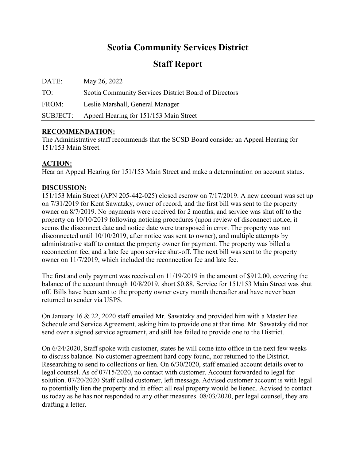## **Scotia Community Services District**

### **Staff Report**

| DATE:    | May 26, 2022                                          |
|----------|-------------------------------------------------------|
| TO:      | Scotia Community Services District Board of Directors |
| FROM:    | Leslie Marshall, General Manager                      |
| SUBJECT: | Appeal Hearing for 151/153 Main Street                |

### **RECOMMENDATION:**

The Administrative staff recommends that the SCSD Board consider an Appeal Hearing for 151/153 Main Street.

### **ACTION:**

Hear an Appeal Hearing for 151/153 Main Street and make a determination on account status.

### **DISCUSSION:**

151/153 Main Street (APN 205-442-025) closed escrow on 7/17/2019. A new account was set up on 7/31/2019 for Kent Sawatzky, owner of record, and the first bill was sent to the property owner on 8/7/2019. No payments were received for 2 months, and service was shut off to the property on 10/10/2019 following noticing procedures (upon review of disconnect notice, it seems the disconnect date and notice date were transposed in error. The property was not disconnected until 10/10/2019, after notice was sent to owner), and multiple attempts by administrative staff to contact the property owner for payment. The property was billed a reconnection fee, and a late fee upon service shut-off. The next bill was sent to the property owner on 11/7/2019, which included the reconnection fee and late fee.

The first and only payment was received on 11/19/2019 in the amount of \$912.00, covering the balance of the account through 10/8/2019, short \$0.88. Service for 151/153 Main Street was shut off. Bills have been sent to the property owner every month thereafter and have never been returned to sender via USPS.

On January 16 & 22, 2020 staff emailed Mr. Sawatzky and provided him with a Master Fee Schedule and Service Agreement, asking him to provide one at that time. Mr. Sawatzky did not send over a signed service agreement, and still has failed to provide one to the District.

On 6/24/2020, Staff spoke with customer, states he will come into office in the next few weeks to discuss balance. No customer agreement hard copy found, nor returned to the District. Researching to send to collections or lien. On 6/30/2020, staff emailed account details over to legal counsel. As of 07/15/2020, no contact with customer. Account forwarded to legal for solution. 07/20/2020 Staff called customer, left message. Advised customer account is with legal to potentially lien the property and in effect all real property would be liened. Advised to contact us today as he has not responded to any other measures. 08/03/2020, per legal counsel, they are drafting a letter.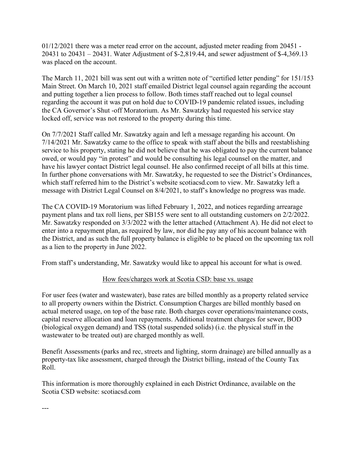01/12/2021 there was a meter read error on the account, adjusted meter reading from 20451 - 20431 to 20431 – 20431. Water Adjustment of \$-2,819.44, and sewer adjustment of \$-4,369.13 was placed on the account.

The March 11, 2021 bill was sent out with a written note of "certified letter pending" for 151/153 Main Street. On March 10, 2021 staff emailed District legal counsel again regarding the account and putting together a lien process to follow. Both times staff reached out to legal counsel regarding the account it was put on hold due to COVID-19 pandemic related issues, including the CA Governor's Shut -off Moratorium. As Mr. Sawatzky had requested his service stay locked off, service was not restored to the property during this time.

On 7/7/2021 Staff called Mr. Sawatzky again and left a message regarding his account. On 7/14/2021 Mr. Sawatzky came to the office to speak with staff about the bills and reestablishing service to his property, stating he did not believe that he was obligated to pay the current balance owed, or would pay "in protest" and would be consulting his legal counsel on the matter, and have his lawyer contact District legal counsel. He also confirmed receipt of all bills at this time. In further phone conversations with Mr. Sawatzky, he requested to see the District's Ordinances, which staff referred him to the District's website scotiacsd.com to view. Mr. Sawatzky left a message with District Legal Counsel on 8/4/2021, to staff's knowledge no progress was made.

The CA COVID-19 Moratorium was lifted February 1, 2022, and notices regarding arrearage payment plans and tax roll liens, per SB155 were sent to all outstanding customers on 2/2/2022. Mr. Sawatzky responded on 3/3/2022 with the letter attached (Attachment A). He did not elect to enter into a repayment plan, as required by law, nor did he pay any of his account balance with the District, and as such the full property balance is eligible to be placed on the upcoming tax roll as a lien to the property in June 2022.

From staff's understanding, Mr. Sawatzky would like to appeal his account for what is owed.

### How fees/charges work at Scotia CSD: base vs. usage

For user fees (water and wastewater), base rates are billed monthly as a property related service to all property owners within the District. Consumption Charges are billed monthly based on actual metered usage, on top of the base rate. Both charges cover operations/maintenance costs, capital reserve allocation and loan repayments. Additional treatment charges for sewer, BOD (biological oxygen demand) and TSS (total suspended solids) (i.e. the physical stuff in the wastewater to be treated out) are charged monthly as well.

Benefit Assessments (parks and rec, streets and lighting, storm drainage) are billed annually as a property-tax like assessment, charged through the District billing, instead of the County Tax Roll.

This information is more thoroughly explained in each District Ordinance, available on the Scotia CSD website: scotiacsd.com

---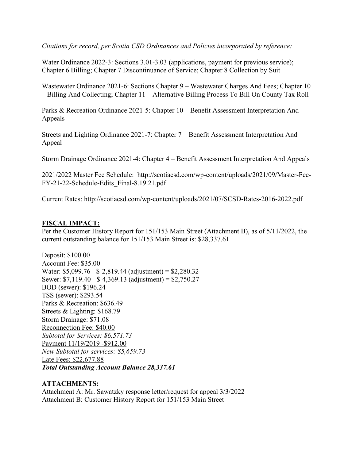*Citations for record, per Scotia CSD Ordinances and Policies incorporated by reference:* 

Water Ordinance 2022-3: Sections 3.01-3.03 (applications, payment for previous service); Chapter 6 Billing; Chapter 7 Discontinuance of Service; Chapter 8 Collection by Suit

Wastewater Ordinance 2021-6: Sections Chapter 9 – Wastewater Charges And Fees; Chapter 10 – Billing And Collecting; Chapter 11 – Alternative Billing Process To Bill On County Tax Roll

Parks & Recreation Ordinance 2021-5: Chapter 10 – Benefit Assessment Interpretation And Appeals

Streets and Lighting Ordinance 2021-7: Chapter 7 – Benefit Assessment Interpretation And Appeal

Storm Drainage Ordinance 2021-4: Chapter 4 – Benefit Assessment Interpretation And Appeals

2021/2022 Master Fee Schedule: http://scotiacsd.com/wp-content/uploads/2021/09/Master-Fee-FY-21-22-Schedule-Edits\_Final-8.19.21.pdf

Current Rates: http://scotiacsd.com/wp-content/uploads/2021/07/SCSD-Rates-2016-2022.pdf

### **FISCAL IMPACT:**

Per the Customer History Report for 151/153 Main Street (Attachment B), as of 5/11/2022, the current outstanding balance for 151/153 Main Street is: \$28,337.61

Deposit: \$100.00 Account Fee: \$35.00 Water: \$5,099.76 - \$-2,819.44 (adjustment) = \$2,280.32 Sewer: \$7,119.40 - \$-4,369.13 (adjustment) = \$2,750.27 BOD (sewer): \$196.24 TSS (sewer): \$293.54 Parks & Recreation: \$636.49 Streets & Lighting: \$168.79 Storm Drainage: \$71.08 Reconnection Fee: \$40.00 *Subtotal for Services: \$6,571.73*  Payment 11/19/2019 -\$912.00 *New Subtotal for services: \$5,659.73*  Late Fees: \$22,677.88 *Total Outstanding Account Balance 28,337.61* 

### **ATTACHMENTS:**

Attachment A: Mr. Sawatzky response letter/request for appeal 3/3/2022 Attachment B: Customer History Report for 151/153 Main Street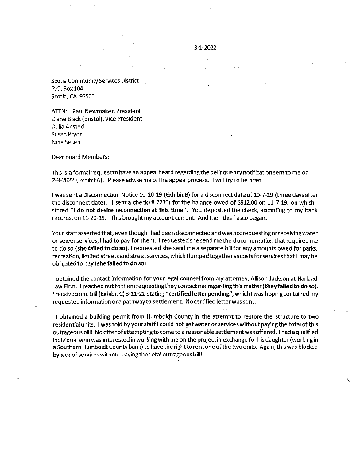**Scotia Community Services District** P.O. Box 104 Scotia, CA 95565  $\sim 10^{11}$  and  $\sim 10^{11}$ 

ATTN: Paul Newmaker, President Diane Black (Bristol), Vice President Delia Ansted Susan Pryor Nina Sellen

**Dear Board Members:** 

This is a formal request to have an appeal heard regarding the delinquency notification sent to me on 2-3-2022 (Exhibit A). Please advise me of the appeal process. I will try to be brief.

 $3 - 1 - 2022$ 

I was sent a Disconnection Notice 10-10-19 (Exhibit B) for a disconnect date of 10-7-19 (three days after the disconnect date). 1 sent a check (# 2236) for the balance owed of \$912.00 on 11-7-19, on which I stated "I do not desire reconnection at this time". You deposited the check, according to my bank records, on 11-20-19. This brought my account current. And then this fiasco began.

Your staff asserted that, even though I had been disconnected and was not requesting or receiving water or sewerservices, I had to pay for them. I requested she send me the documentation that required me to do so (she failed to do so). I requested she send me a separate bill for any amounts owed for parks, recreation, limited streets and street services, which I lumped together as costs for services that I may be obligated to pay (she failed to do so).

I obtained the contact information for your legal counsel from my attorney, Allison Jackson at Harland Law Firm. I reached out to them requesting they contact me regarding this matter (they failed to do so). I received one bill (Exhibit C) 3-11-21 stating "certified letter pending", which I was hoping contained my requested information or a pathway to settlement. No certified letter was sent.

I obtained a building permit from Humboldt County in the attempt to restore the structure to two residential units. I was told by your staff I could not get water or services without paying the total of this outrageous bill! No offer of attempting to come to a reasonable settlement was offered. I had a qualified individual who was interested in working with me on the project in exchange for his daughter (working in a Southern Humboldt County bank) to have the right to rent one of the two units. Again, this was blocked by lack of services without paying the total outrageous bill!

ð,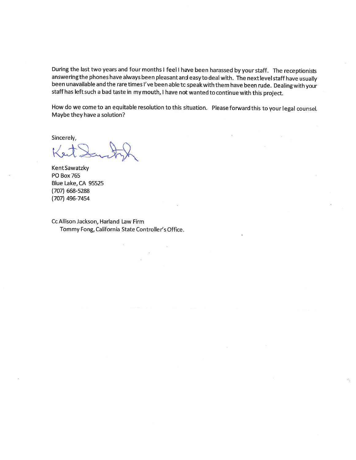During the last two years and four months I feel I have been harassed by your staff. The receptionists answering the phones have always been pleasant and easy to deal with. The next level staff have usually been unavailable and the rare times I've been able to speak with them have been rude. Dealing with your staff has left such a bad taste in my mouth, I have not wanted to continue with this project.

How do we come to an equitable resolution to this situation. Please forward this to your legal counsel. Maybe they have a solution?

Sincerely,

Kent Sawatzky **PO Box 765** Blue Lake, CA 95525  $(707)$  668-5288 (707) 496-7454

Cc Allison Jackson, Harland Law Firm Tommy Fong, California State Controller's Office.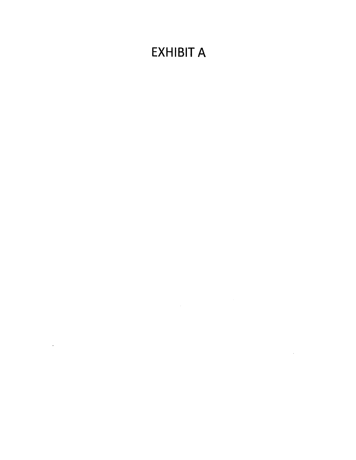# **EXHIBIT A**

 $\label{eq:2.1} \frac{1}{\sqrt{2}}\int_{\mathbb{R}^3}\frac{1}{\sqrt{2}}\left(\frac{1}{\sqrt{2}}\right)^2\frac{1}{\sqrt{2}}\left(\frac{1}{\sqrt{2}}\right)^2\frac{1}{\sqrt{2}}\left(\frac{1}{\sqrt{2}}\right)^2\frac{1}{\sqrt{2}}\left(\frac{1}{\sqrt{2}}\right)^2.$ 

 $\sim 10^{-10}$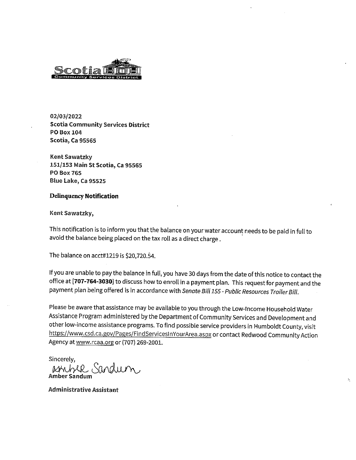

02/03/2022 **Scotia Community Services District** PO Box 104 **Scotia, Ca 95565** 

Kent Sawatzky 151/153 Main St Scotia, Ca 95565 PO Box 765 Blue Lake, Ca 95525

#### **Delinquency Notification**

#### Kent Sawatzky,

This notification is to inform you that the balance on your water account needs to be paid in full to avoid the balance being placed on the tax roll as a direct charge.

The balance on acct#1219 is \$20,720.54.

If you are unable to pay the balance in full, you have 30 days from the date of this notice to contact the office at [707-764-3030] to discuss how to enroll in a payment plan. This request for payment and the payment plan being offered is in accordance with Senate Bill 155 - Public Resources Trailer Bill.

Please be aware that assistance may be available to you through the Low-Income Household Water Assistance Program administered by the Department of Community Services and Development and other low-income assistance programs. To find possible service providers in Humboldt County, visit https://www.csd.ca.gov/Pages/FindServicesInYourArea.aspx or contact Redwood Community Action Agency at www.rcaa.org or (707) 269-2001.

Sincerely,

Athbek Sand

**Administrative Assistant**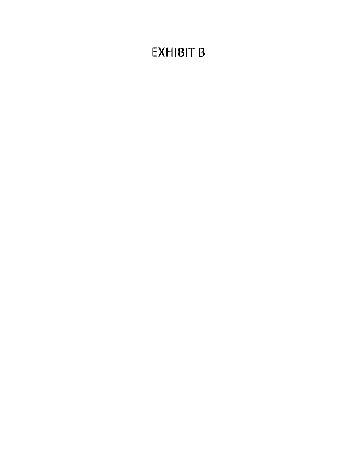# **EXHIBIT B**

 $\label{eq:2.1} \frac{1}{\sqrt{2}}\int_{\mathbb{R}^3}\frac{1}{\sqrt{2}}\left(\frac{1}{\sqrt{2}}\right)^2\frac{1}{\sqrt{2}}\left(\frac{1}{\sqrt{2}}\right)^2\frac{1}{\sqrt{2}}\left(\frac{1}{\sqrt{2}}\right)^2\frac{1}{\sqrt{2}}\left(\frac{1}{\sqrt{2}}\right)^2.$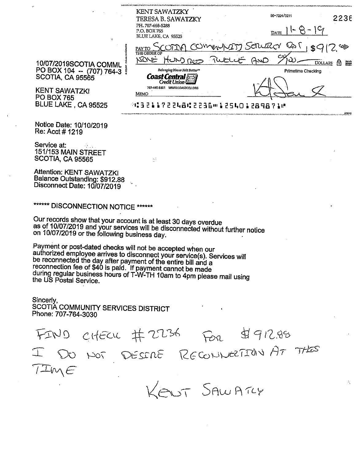| ÷                                                                | <b>KENT SAWATZKY</b><br>TERESA B. SAWATZKY<br>PH, 707-668-5288<br>P.O. BOX 765<br>BLUE LAKE, CA 95525 | 90-7224/3211<br>2236<br><b>DATE</b>                                        |
|------------------------------------------------------------------|-------------------------------------------------------------------------------------------------------|----------------------------------------------------------------------------|
| 10/07/2019SCOTIA COMML                                           | <b>PAY TO</b><br><b>THE ORDER OF</b><br>KRNE<br>HUND ROO<br>TWEE                                      | SAURA<br>فتتزح<br>AWD<br>A<br>Spoata<br>Polada<br>Detaba<br><b>DOLLARS</b> |
| PO BOX 104 -- (707) 764-3<br>SCOTIA, CA 95565                    | Belonging Never Felt Better<br><b>Coast Central</b><br>Credit Union                                   | Primetime Checking                                                         |
| <b>KENT SAWATZKI</b><br><b>PO BOX 765</b><br>BLUE LAKE, CA 95525 | WWW.COASTCCU.ORG<br>707-445-8801<br>MEMO<br>***32117224852236m125401289871M                           |                                                                            |

BLUE LAKE, CA 95525 Notice Date: 10/10/2019

Re: Acct # 1219

Service at: 151/153 MAIN STREET **SCOTIA, CA 95565** 

**Attention: KENT SAWATZKI** Balance Outstanding: \$912.88 Disconnect Date: 10/07/2019

\*\*\*\*\*\* DISCONNECTION NOTICE \*\*\*\*\*\*

Our records show that your account is at least 30 days overdue as of 10/07/2019 and your services will be disconnected without further notice on 10/07/2019 or the following business day.

Payment or post-dated checks will not be accepted when our authorized employee arrives to disconnect your service(s). Services will be reconnected the day after payment of the entire bill and a reconnection fee of \$40 is paid. If payment cannot be made during regular business hours of T-W-TH 10am to 4pm please mail using the US Postal Service.

Sincerly. SCOTIA COMMUNITY SERVICES DISTRICT Phone: 707-764-3030

 $\frac{d}{d}912.96$  $FIDO$  CHECK # 2236 DO NOT DESCRE RECONNECTION AT THES IME OUT SAWATCY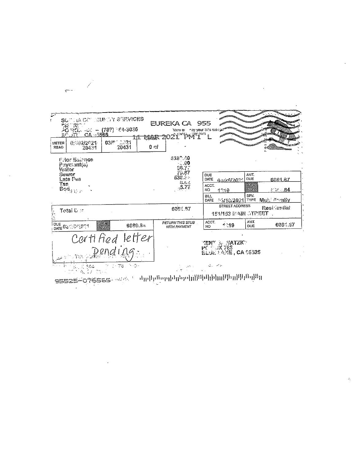| ౌ<br><b>METER</b>     | 0562/2021                                             | $\gamma_{ik}$ (see ) ender services<br>28 12 13 - (707) 164-3030<br>20 50 - 52 - (707) 164-3030<br>30 - 52 - 53 - 5565<br>$-221$<br>$0.3\ell$ | <b>TOSAGE</b> | EUREKA CA 955<br>View ar<br>2021 PM I   | may your bills online | <b>AND</b>                                                 |                        |                |
|-----------------------|-------------------------------------------------------|-----------------------------------------------------------------------------------------------------------------------------------------------|---------------|-----------------------------------------|-----------------------|------------------------------------------------------------|------------------------|----------------|
| READ                  | 20431                                                 | 20431                                                                                                                                         | 0 ni          |                                         |                       |                                                            |                        |                |
| Wraver                | P for Sairnce<br>Paymant(a)                           |                                                                                                                                               |               | 5380.40<br>$\frac{1}{36.7}$             |                       |                                                            |                        |                |
| Sewer                 | Late Pes                                              |                                                                                                                                               |               | 79.BT<br>538.24                         | <b>DUE</b><br>DATE    | 新潟保縄会の名                                                    | AMT.<br><b>DUE</b>     | 68849.67       |
| Tss                   | $\mathsf{End}_{\mathcal{G}(\mathcal{V},\mathcal{P})}$ |                                                                                                                                               |               | 募集者<br>577                              | ACCT.<br>NO.          | 性急性癌                                                       | <b>IETPATE</b><br>- 75 | <b>に W 284</b> |
|                       |                                                       |                                                                                                                                               |               |                                         | <b>BILL</b><br>DATE   | ∴5/10/2021                                                 | SPV.<br><b>TYPE</b>    | ੀਮਿਲ ≓ਾਗੀ∀     |
|                       | Total Dec                                             |                                                                                                                                               |               | 6081.57                                 |                       | STREET ADDRESS<br><b>151/153 WAIN OTPEET</b>               |                        | Residential    |
| OUE                   | DATE 03/2/2/2021                                      | IE ILATE<br>  PAY<br>6689.84                                                                                                                  |               | <b>RETURN THIS STUB</b><br>WITH PAYMENT | ACCT.<br>NO           | 1919                                                       | AMT.<br><b>DUE</b>     | 6631.67        |
|                       |                                                       | Certified letter<br>Dending                                                                                                                   |               |                                         |                       | yent a Satzki<br>PC : 0X 783<br><b>BLUE LAKE, CA 05325</b> |                        |                |
|                       | $\frac{1}{2}$                                         | Albert Park<br>- 学校                                                                                                                           |               | i ya umamini wa                         |                       |                                                            |                        |                |
| وكالمرج ومعارضا وتتنا |                                                       | <b>TEEEB</b> ARAAN                                                                                                                            |               | ւկրիները[փրեթվը]]]][փիկրիկը]]]][լիկ]]   |                       |                                                            |                        |                |

 $\overline{\mathcal{S}}$ 

 $\sim 10^{-11}$ 

 $\sim 10^{-11}$ 

 $\mathcal{L}$ 

 $\frac{d\mathbf{y}}{d\mathbf{y}}$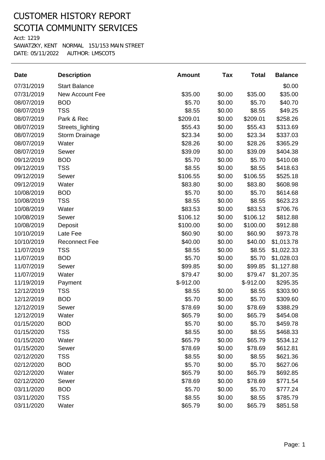Acct: 1219

| <b>Date</b> | <b>Description</b>     | <b>Amount</b> | Tax    | <b>Total</b> | <b>Balance</b> |
|-------------|------------------------|---------------|--------|--------------|----------------|
| 07/31/2019  | <b>Start Balance</b>   |               |        |              | \$0.00         |
| 07/31/2019  | <b>New Account Fee</b> | \$35.00       | \$0.00 | \$35.00      | \$35.00        |
| 08/07/2019  | <b>BOD</b>             | \$5.70        | \$0.00 | \$5.70       | \$40.70        |
| 08/07/2019  | <b>TSS</b>             | \$8.55        | \$0.00 | \$8.55       | \$49.25        |
| 08/07/2019  | Park & Rec             | \$209.01      | \$0.00 | \$209.01     | \$258.26       |
| 08/07/2019  | Streets_lighting       | \$55.43       | \$0.00 | \$55.43      | \$313.69       |
| 08/07/2019  | <b>Storm Drainage</b>  | \$23.34       | \$0.00 | \$23.34      | \$337.03       |
| 08/07/2019  | Water                  | \$28.26       | \$0.00 | \$28.26      | \$365.29       |
| 08/07/2019  | Sewer                  | \$39.09       | \$0.00 | \$39.09      | \$404.38       |
| 09/12/2019  | <b>BOD</b>             | \$5.70        | \$0.00 | \$5.70       | \$410.08       |
| 09/12/2019  | <b>TSS</b>             | \$8.55        | \$0.00 | \$8.55       | \$418.63       |
| 09/12/2019  | Sewer                  | \$106.55      | \$0.00 | \$106.55     | \$525.18       |
| 09/12/2019  | Water                  | \$83.80       | \$0.00 | \$83.80      | \$608.98       |
| 10/08/2019  | <b>BOD</b>             | \$5.70        | \$0.00 | \$5.70       | \$614.68       |
| 10/08/2019  | <b>TSS</b>             | \$8.55        | \$0.00 | \$8.55       | \$623.23       |
| 10/08/2019  | Water                  | \$83.53       | \$0.00 | \$83.53      | \$706.76       |
| 10/08/2019  | Sewer                  | \$106.12      | \$0.00 | \$106.12     | \$812.88       |
| 10/08/2019  | Deposit                | \$100.00      | \$0.00 | \$100.00     | \$912.88       |
| 10/10/2019  | Late Fee               | \$60.90       | \$0.00 | \$60.90      | \$973.78       |
| 10/10/2019  | <b>Reconnect Fee</b>   | \$40.00       | \$0.00 | \$40.00      | \$1,013.78     |
| 11/07/2019  | <b>TSS</b>             | \$8.55        | \$0.00 | \$8.55       | \$1,022.33     |
| 11/07/2019  | <b>BOD</b>             | \$5.70        | \$0.00 | \$5.70       | \$1,028.03     |
| 11/07/2019  | Sewer                  | \$99.85       | \$0.00 | \$99.85      | \$1,127.88     |
| 11/07/2019  | Water                  | \$79.47       | \$0.00 | \$79.47      | \$1,207.35     |
| 11/19/2019  | Payment                | $$-912.00$    |        | $$-912.00$   | \$295.35       |
| 12/12/2019  | <b>TSS</b>             | \$8.55        | \$0.00 | \$8.55       | \$303.90       |
| 12/12/2019  | <b>BOD</b>             | \$5.70        | \$0.00 | \$5.70       | \$309.60       |
| 12/12/2019  | Sewer                  | \$78.69       | \$0.00 | \$78.69      | \$388.29       |
| 12/12/2019  | Water                  | \$65.79       | \$0.00 | \$65.79      | \$454.08       |
| 01/15/2020  | <b>BOD</b>             | \$5.70        | \$0.00 | \$5.70       | \$459.78       |
| 01/15/2020  | <b>TSS</b>             | \$8.55        | \$0.00 | \$8.55       | \$468.33       |
| 01/15/2020  | Water                  | \$65.79       | \$0.00 | \$65.79      | \$534.12       |
| 01/15/2020  | Sewer                  | \$78.69       | \$0.00 | \$78.69      | \$612.81       |
| 02/12/2020  | <b>TSS</b>             | \$8.55        | \$0.00 | \$8.55       | \$621.36       |
| 02/12/2020  | <b>BOD</b>             | \$5.70        | \$0.00 | \$5.70       | \$627.06       |
| 02/12/2020  | Water                  | \$65.79       | \$0.00 | \$65.79      | \$692.85       |
| 02/12/2020  | Sewer                  | \$78.69       | \$0.00 | \$78.69      | \$771.54       |
| 03/11/2020  | <b>BOD</b>             | \$5.70        | \$0.00 | \$5.70       | \$777.24       |
| 03/11/2020  | <b>TSS</b>             | \$8.55        | \$0.00 | \$8.55       | \$785.79       |
| 03/11/2020  | Water                  | \$65.79       | \$0.00 | \$65.79      | \$851.58       |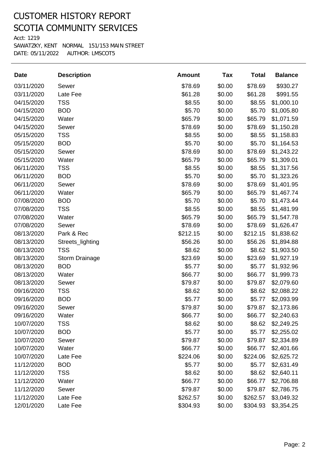Acct: 1219

| <b>Date</b> | <b>Description</b>    | <b>Amount</b> | <b>Tax</b> | <b>Total</b> | <b>Balance</b> |
|-------------|-----------------------|---------------|------------|--------------|----------------|
| 03/11/2020  | Sewer                 | \$78.69       | \$0.00     | \$78.69      | \$930.27       |
| 03/11/2020  | Late Fee              | \$61.28       | \$0.00     | \$61.28      | \$991.55       |
| 04/15/2020  | <b>TSS</b>            | \$8.55        | \$0.00     | \$8.55       | \$1,000.10     |
| 04/15/2020  | <b>BOD</b>            | \$5.70        | \$0.00     | \$5.70       | \$1,005.80     |
| 04/15/2020  | Water                 | \$65.79       | \$0.00     | \$65.79      | \$1,071.59     |
| 04/15/2020  | Sewer                 | \$78.69       | \$0.00     | \$78.69      | \$1,150.28     |
| 05/15/2020  | <b>TSS</b>            | \$8.55        | \$0.00     | \$8.55       | \$1,158.83     |
| 05/15/2020  | <b>BOD</b>            | \$5.70        | \$0.00     | \$5.70       | \$1,164.53     |
| 05/15/2020  | Sewer                 | \$78.69       | \$0.00     | \$78.69      | \$1,243.22     |
| 05/15/2020  | Water                 | \$65.79       | \$0.00     | \$65.79      | \$1,309.01     |
| 06/11/2020  | <b>TSS</b>            | \$8.55        | \$0.00     | \$8.55       | \$1,317.56     |
| 06/11/2020  | <b>BOD</b>            | \$5.70        | \$0.00     | \$5.70       | \$1,323.26     |
| 06/11/2020  | Sewer                 | \$78.69       | \$0.00     | \$78.69      | \$1,401.95     |
| 06/11/2020  | Water                 | \$65.79       | \$0.00     | \$65.79      | \$1,467.74     |
| 07/08/2020  | <b>BOD</b>            | \$5.70        | \$0.00     | \$5.70       | \$1,473.44     |
| 07/08/2020  | <b>TSS</b>            | \$8.55        | \$0.00     | \$8.55       | \$1,481.99     |
| 07/08/2020  | Water                 | \$65.79       | \$0.00     | \$65.79      | \$1,547.78     |
| 07/08/2020  | Sewer                 | \$78.69       | \$0.00     | \$78.69      | \$1,626.47     |
| 08/13/2020  | Park & Rec            | \$212.15      | \$0.00     | \$212.15     | \$1,838.62     |
| 08/13/2020  | Streets_lighting      | \$56.26       | \$0.00     | \$56.26      | \$1,894.88     |
| 08/13/2020  | <b>TSS</b>            | \$8.62        | \$0.00     | \$8.62       | \$1,903.50     |
| 08/13/2020  | <b>Storm Drainage</b> | \$23.69       | \$0.00     | \$23.69      | \$1,927.19     |
| 08/13/2020  | <b>BOD</b>            | \$5.77        | \$0.00     | \$5.77       | \$1,932.96     |
| 08/13/2020  | Water                 | \$66.77       | \$0.00     | \$66.77      | \$1,999.73     |
| 08/13/2020  | Sewer                 | \$79.87       | \$0.00     | \$79.87      | \$2,079.60     |
| 09/16/2020  | <b>TSS</b>            | \$8.62        | \$0.00     | \$8.62       | \$2,088.22     |
| 09/16/2020  | <b>BOD</b>            | \$5.77        | \$0.00     | \$5.77       | \$2,093.99     |
| 09/16/2020  | Sewer                 | \$79.87       | \$0.00     | \$79.87      | \$2,173.86     |
| 09/16/2020  | Water                 | \$66.77       | \$0.00     | \$66.77      | \$2,240.63     |
| 10/07/2020  | <b>TSS</b>            | \$8.62        | \$0.00     | \$8.62       | \$2,249.25     |
| 10/07/2020  | <b>BOD</b>            | \$5.77        | \$0.00     | \$5.77       | \$2,255.02     |
| 10/07/2020  | Sewer                 | \$79.87       | \$0.00     | \$79.87      | \$2,334.89     |
| 10/07/2020  | Water                 | \$66.77       | \$0.00     | \$66.77      | \$2,401.66     |
| 10/07/2020  | Late Fee              | \$224.06      | \$0.00     | \$224.06     | \$2,625.72     |
| 11/12/2020  | <b>BOD</b>            | \$5.77        | \$0.00     | \$5.77       | \$2,631.49     |
| 11/12/2020  | <b>TSS</b>            | \$8.62        | \$0.00     | \$8.62       | \$2,640.11     |
| 11/12/2020  | Water                 | \$66.77       | \$0.00     | \$66.77      | \$2,706.88     |
| 11/12/2020  | Sewer                 | \$79.87       | \$0.00     | \$79.87      | \$2,786.75     |
| 11/12/2020  | Late Fee              | \$262.57      | \$0.00     | \$262.57     | \$3,049.32     |
| 12/01/2020  | Late Fee              | \$304.93      | \$0.00     | \$304.93     | \$3,354.25     |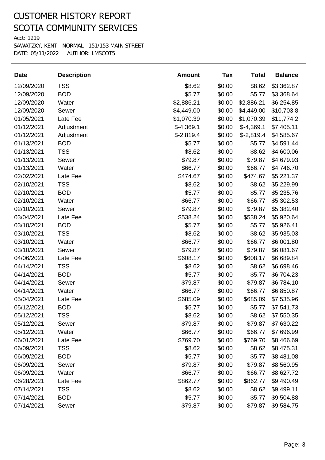Acct: 1219

| <b>Date</b> | <b>Description</b> | <b>Amount</b> | Tax    | <b>Total</b> | <b>Balance</b> |
|-------------|--------------------|---------------|--------|--------------|----------------|
| 12/09/2020  | <b>TSS</b>         | \$8.62        | \$0.00 | \$8.62       | \$3,362.87     |
| 12/09/2020  | <b>BOD</b>         | \$5.77        | \$0.00 | \$5.77       | \$3,368.64     |
| 12/09/2020  | Water              | \$2,886.21    | \$0.00 | \$2,886.21   | \$6,254.85     |
| 12/09/2020  | Sewer              | \$4,449.00    | \$0.00 | \$4,449.00   | \$10,703.8     |
| 01/05/2021  | Late Fee           | \$1,070.39    | \$0.00 | \$1,070.39   | \$11,774.2     |
| 01/12/2021  | Adjustment         | $$-4,369.1$   | \$0.00 | $$-4,369.1$  | \$7,405.11     |
| 01/12/2021  | Adjustment         | $$-2,819.4$   | \$0.00 | $$-2,819.4$  | \$4,585.67     |
| 01/13/2021  | <b>BOD</b>         | \$5.77        | \$0.00 | \$5.77       | \$4,591.44     |
| 01/13/2021  | <b>TSS</b>         | \$8.62        | \$0.00 | \$8.62       | \$4,600.06     |
| 01/13/2021  | Sewer              | \$79.87       | \$0.00 | \$79.87      | \$4,679.93     |
| 01/13/2021  | Water              | \$66.77       | \$0.00 | \$66.77      | \$4,746.70     |
| 02/02/2021  | Late Fee           | \$474.67      | \$0.00 | \$474.67     | \$5,221.37     |
| 02/10/2021  | <b>TSS</b>         | \$8.62        | \$0.00 | \$8.62       | \$5,229.99     |
| 02/10/2021  | <b>BOD</b>         | \$5.77        | \$0.00 | \$5.77       | \$5,235.76     |
| 02/10/2021  | Water              | \$66.77       | \$0.00 | \$66.77      | \$5,302.53     |
| 02/10/2021  | Sewer              | \$79.87       | \$0.00 | \$79.87      | \$5,382.40     |
| 03/04/2021  | Late Fee           | \$538.24      | \$0.00 | \$538.24     | \$5,920.64     |
| 03/10/2021  | <b>BOD</b>         | \$5.77        | \$0.00 | \$5.77       | \$5,926.41     |
| 03/10/2021  | <b>TSS</b>         | \$8.62        | \$0.00 | \$8.62       | \$5,935.03     |
| 03/10/2021  | Water              | \$66.77       | \$0.00 | \$66.77      | \$6,001.80     |
| 03/10/2021  | Sewer              | \$79.87       | \$0.00 | \$79.87      | \$6,081.67     |
| 04/06/2021  | Late Fee           | \$608.17      | \$0.00 | \$608.17     | \$6,689.84     |
| 04/14/2021  | <b>TSS</b>         | \$8.62        | \$0.00 | \$8.62       | \$6,698.46     |
| 04/14/2021  | <b>BOD</b>         | \$5.77        | \$0.00 | \$5.77       | \$6,704.23     |
| 04/14/2021  | Sewer              | \$79.87       | \$0.00 | \$79.87      | \$6,784.10     |
| 04/14/2021  | Water              | \$66.77       | \$0.00 | \$66.77      | \$6,850.87     |
| 05/04/2021  | Late Fee           | \$685.09      | \$0.00 | \$685.09     | \$7,535.96     |
| 05/12/2021  | <b>BOD</b>         | \$5.77        | \$0.00 | \$5.77       | \$7,541.73     |
| 05/12/2021  | TSS                | \$8.62        | \$0.00 | \$8.62       | \$7,550.35     |
| 05/12/2021  | Sewer              | \$79.87       | \$0.00 | \$79.87      | \$7,630.22     |
| 05/12/2021  | Water              | \$66.77       | \$0.00 | \$66.77      | \$7,696.99     |
| 06/01/2021  | Late Fee           | \$769.70      | \$0.00 | \$769.70     | \$8,466.69     |
| 06/09/2021  | <b>TSS</b>         | \$8.62        | \$0.00 | \$8.62       | \$8,475.31     |
| 06/09/2021  | <b>BOD</b>         | \$5.77        | \$0.00 | \$5.77       | \$8,481.08     |
| 06/09/2021  | Sewer              | \$79.87       | \$0.00 | \$79.87      | \$8,560.95     |
| 06/09/2021  | Water              | \$66.77       | \$0.00 | \$66.77      | \$8,627.72     |
| 06/28/2021  | Late Fee           | \$862.77      | \$0.00 | \$862.77     | \$9,490.49     |
| 07/14/2021  | <b>TSS</b>         | \$8.62        | \$0.00 | \$8.62       | \$9,499.11     |
| 07/14/2021  | <b>BOD</b>         | \$5.77        | \$0.00 | \$5.77       | \$9,504.88     |
| 07/14/2021  | Sewer              | \$79.87       | \$0.00 | \$79.87      | \$9,584.75     |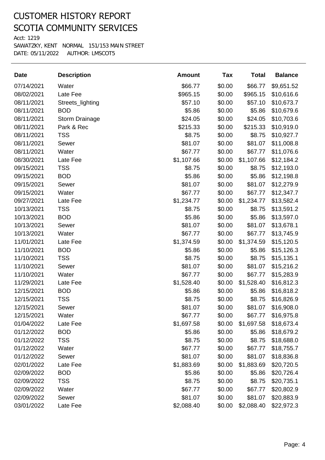Acct: 1219

| <b>Date</b> | <b>Description</b>    | <b>Amount</b> | Tax    | <b>Total</b> | <b>Balance</b> |
|-------------|-----------------------|---------------|--------|--------------|----------------|
| 07/14/2021  | Water                 | \$66.77       | \$0.00 | \$66.77      | \$9,651.52     |
| 08/02/2021  | Late Fee              | \$965.15      | \$0.00 | \$965.15     | \$10,616.6     |
| 08/11/2021  | Streets_lighting      | \$57.10       | \$0.00 | \$57.10      | \$10,673.7     |
| 08/11/2021  | <b>BOD</b>            | \$5.86        | \$0.00 | \$5.86       | \$10,679.6     |
| 08/11/2021  | <b>Storm Drainage</b> | \$24.05       | \$0.00 | \$24.05      | \$10,703.6     |
| 08/11/2021  | Park & Rec            | \$215.33      | \$0.00 | \$215.33     | \$10,919.0     |
| 08/11/2021  | <b>TSS</b>            | \$8.75        | \$0.00 | \$8.75       | \$10,927.7     |
| 08/11/2021  | Sewer                 | \$81.07       | \$0.00 | \$81.07      | \$11,008.8     |
| 08/11/2021  | Water                 | \$67.77       | \$0.00 | \$67.77      | \$11,076.6     |
| 08/30/2021  | Late Fee              | \$1,107.66    | \$0.00 | \$1,107.66   | \$12,184.2     |
| 09/15/2021  | <b>TSS</b>            | \$8.75        | \$0.00 | \$8.75       | \$12,193.0     |
| 09/15/2021  | <b>BOD</b>            | \$5.86        | \$0.00 | \$5.86       | \$12,198.8     |
| 09/15/2021  | Sewer                 | \$81.07       | \$0.00 | \$81.07      | \$12,279.9     |
| 09/15/2021  | Water                 | \$67.77       | \$0.00 | \$67.77      | \$12,347.7     |
| 09/27/2021  | Late Fee              | \$1,234.77    | \$0.00 | \$1,234.77   | \$13,582.4     |
| 10/13/2021  | <b>TSS</b>            | \$8.75        | \$0.00 | \$8.75       | \$13,591.2     |
| 10/13/2021  | <b>BOD</b>            | \$5.86        | \$0.00 | \$5.86       | \$13,597.0     |
| 10/13/2021  | Sewer                 | \$81.07       | \$0.00 | \$81.07      | \$13,678.1     |
| 10/13/2021  | Water                 | \$67.77       | \$0.00 | \$67.77      | \$13,745.9     |
| 11/01/2021  | Late Fee              | \$1,374.59    | \$0.00 | \$1,374.59   | \$15,120.5     |
| 11/10/2021  | <b>BOD</b>            | \$5.86        | \$0.00 | \$5.86       | \$15,126.3     |
| 11/10/2021  | <b>TSS</b>            | \$8.75        | \$0.00 | \$8.75       | \$15,135.1     |
| 11/10/2021  | Sewer                 | \$81.07       | \$0.00 | \$81.07      | \$15,216.2     |
| 11/10/2021  | Water                 | \$67.77       | \$0.00 | \$67.77      | \$15,283.9     |
| 11/29/2021  | Late Fee              | \$1,528.40    | \$0.00 | \$1,528.40   | \$16,812.3     |
| 12/15/2021  | <b>BOD</b>            | \$5.86        | \$0.00 | \$5.86       | \$16,818.2     |
| 12/15/2021  | <b>TSS</b>            | \$8.75        | \$0.00 | \$8.75       | \$16,826.9     |
| 12/15/2021  | Sewer                 | \$81.07       | \$0.00 | \$81.07      | \$16,908.0     |
| 12/15/2021  | Water                 | \$67.77       | \$0.00 | \$67.77      | \$16,975.8     |
| 01/04/2022  | Late Fee              | \$1,697.58    | \$0.00 | \$1,697.58   | \$18,673.4     |
| 01/12/2022  | <b>BOD</b>            | \$5.86        | \$0.00 | \$5.86       | \$18,679.2     |
| 01/12/2022  | <b>TSS</b>            | \$8.75        | \$0.00 | \$8.75       | \$18,688.0     |
| 01/12/2022  | Water                 | \$67.77       | \$0.00 | \$67.77      | \$18,755.7     |
| 01/12/2022  | Sewer                 | \$81.07       | \$0.00 | \$81.07      | \$18,836.8     |
| 02/01/2022  | Late Fee              | \$1,883.69    | \$0.00 | \$1,883.69   | \$20,720.5     |
| 02/09/2022  | <b>BOD</b>            | \$5.86        | \$0.00 | \$5.86       | \$20,726.4     |
| 02/09/2022  | <b>TSS</b>            | \$8.75        | \$0.00 | \$8.75       | \$20,735.1     |
| 02/09/2022  | Water                 | \$67.77       | \$0.00 | \$67.77      | \$20,802.9     |
| 02/09/2022  | Sewer                 | \$81.07       | \$0.00 | \$81.07      | \$20,883.9     |
| 03/01/2022  | Late Fee              | \$2,088.40    | \$0.00 | \$2,088.40   | \$22,972.3     |